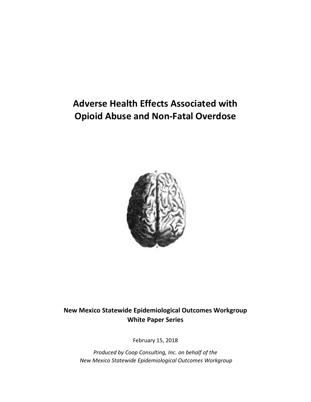# **Adverse Health Effects Associated with Opioid Abuse and Non-Fatal Overdose**



# **New Mexico Statewide Epidemiological Outcomes Workgroup White Paper Series**

February 15, 2018

*Produced by Coop Consulting, Inc. on behalf of the New Mexico Statewide Epidemiological Outcomes Workgroup*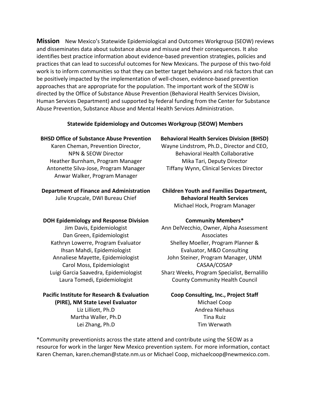**Mission** New Mexico's Statewide Epidemiological and Outcomes Workgroup (SEOW) reviews and disseminates data about substance abuse and misuse and their consequences. It also identifies best practice information about evidence-based prevention strategies, policies and practices that can lead to successful outcomes for New Mexicans. The purpose of this two-fold work is to inform communities so that they can better target behaviors and risk factors that can be positively impacted by the implementation of well-chosen, evidence-based prevention approaches that are appropriate for the population. The important work of the SEOW is directed by the Office of Substance Abuse Prevention (Behavioral Health Services Division, Human Services Department) and supported by federal funding from the Center for Substance Abuse Prevention, Substance Abuse and Mental Health Services Administration.

#### **Statewide Epidemiology and Outcomes Workgroup (SEOW) Members**

#### **BHSD Office of Substance Abuse Prevention**

Karen Cheman, Prevention Director, NPN & SEOW Director Heather Burnham, Program Manager Antonette Silva-Jose, Program Manager Anwar Walker, Program Manager

#### **Department of Finance and Administration**

Julie Krupcale, DWI Bureau Chief

#### **DOH Epidemiology and Response Division**

Jim Davis, Epidemiologist Dan Green, Epidemiologist Kathryn Lowerre, Program Evaluator Ihsan Mahdi, Epidemiologist Annaliese Mayette, Epidemiologist Carol Moss, Epidemiologist Luigi Garcia Saavedra, Epidemiologist Laura Tomedi, Epidemiologist

#### **Pacific Institute for Research & Evaluation (PIRE), NM State Level Evaluator**

Liz Lilliott, Ph.D Martha Waller, Ph.D Lei Zhang, Ph.D

#### **Behavioral Health Services Division (BHSD)**

Wayne Lindstrom, Ph.D., Director and CEO, Behavioral Health Collaborative Mika Tari, Deputy Director Tiffany Wynn, Clinical Services Director

#### **Children Youth and Families Department, Behavioral Health Services** Michael Hock, Program Manager

#### **Community Members\***

Ann DelVecchio, Owner, Alpha Assessment Associates Shelley Moeller, Program Planner & Evaluator, M&O Consulting John Steiner, Program Manager, UNM CASAA/COSAP Sharz Weeks, Program Specialist, Bernalillo County Community Health Council

# **Coop Consulting, Inc., Project Staff** Michael Coop Andrea Niehaus Tina Ruiz Tim Werwath

\*Community preventionists across the state attend and contribute using the SEOW as a resource for work in the larger New Mexico prevention system. For more information, contact Karen Cheman, karen.cheman@state.nm.us or Michael Coop, michaelcoop@newmexico.com.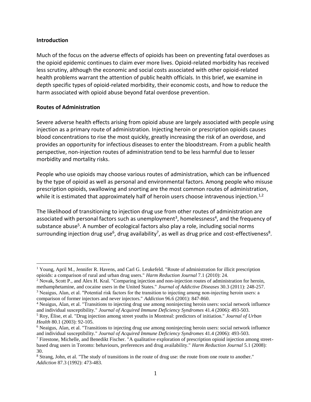#### **Introduction**

 $\overline{a}$ 

Much of the focus on the adverse effects of opioids has been on preventing fatal overdoses as the opioid epidemic continues to claim ever more lives. Opioid-related morbidity has received less scrutiny, although the economic and social costs associated with other opioid-related health problems warrant the attention of public health officials. In this brief, we examine in depth specific types of opioid-related morbidity, their economic costs, and how to reduce the harm associated with opioid abuse beyond fatal overdose prevention.

#### **Routes of Administration**

Severe adverse health effects arising from opioid abuse are largely associated with people using injection as a primary route of administration. Injecting heroin or prescription opioids causes blood concentrations to rise the most quickly, greatly increasing the risk of an overdose, and provides an opportunity for infectious diseases to enter the bloodstream. From a public health perspective, non-injection routes of administration tend to be less harmful due to lesser morbidity and mortality risks.

People who use opioids may choose various routes of administration, which can be influenced by the type of opioid as well as personal and environmental factors. Among people who misuse prescription opioids, swallowing and snorting are the most common routes of administration, while it is estimated that approximately half of heroin users choose intravenous injection.<sup>1,2</sup>

The likelihood of transitioning to injection drug use from other routes of administration are associated with personal factors such as unemployment<sup>3</sup>, homelessness<sup>4</sup>, and the frequency of substance abuse<sup>5</sup>. A number of ecological factors also play a role, including social norms surrounding injection drug use<sup>6</sup>, drug availability<sup>7</sup>, as well as drug price and cost-effectiveness<sup>8</sup>.

<sup>1</sup> Young, April M., Jennifer R. Havens, and Carl G. Leukefeld. "Route of administration for illicit prescription opioids: a comparison of rural and urban drug users." *Harm Reduction Journal* 7.1 (2010): 24.

<sup>2</sup> Novak, Scott P., and Alex H. Kral. "Comparing injection and non-injection routes of administration for heroin, methamphetamine, and cocaine users in the United States." *Journal of Addictive Diseases* 30.3 (2011): 248-257. <sup>3</sup> Neaigus, Alan, et al. "Potential risk factors for the transition to injecting among non‐injecting heroin users: a

comparison of former injectors and never injectors." *Addiction* 96.6 (2001): 847-860.

<sup>4</sup> Neaigus, Alan, et al. "Transitions to injecting drug use among noninjecting heroin users: social network influence and individual susceptibility." *Journal of Acquired Immune Deficiency Syndromes* 41.4 (2006): 493-503.

<sup>5</sup> Roy, Élise, et al. "Drug injection among street youths in Montreal: predictors of initiation." *Journal of Urban Health* 80.1 (2003): 92-105.

<sup>6</sup> Neaigus, Alan, et al. "Transitions to injecting drug use among noninjecting heroin users: social network influence and individual susceptibility." *Journal of Acquired Immune Deficiency Syndromes* 41.4 (2006): 493-503.

<sup>7</sup> Firestone, Michelle, and Benedikt Fischer. "A qualitative exploration of prescription opioid injection among streetbased drug users in Toronto: behaviours, preferences and drug availability." *Harm Reduction Journal* 5.1 (2008): 30.

<sup>&</sup>lt;sup>8</sup> Strang, John, et al. "The study of transitions in the route of drug use: the route from one route to another." *Addiction* 87.3 (1992): 473-483.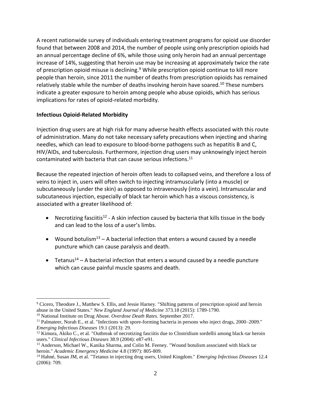A recent nationwide survey of individuals entering treatment programs for opioid use disorder found that between 2008 and 2014, the number of people using only prescription opioids had an annual percentage decline of 6%, while those using only heroin had an annual percentage increase of 14%, suggesting that heroin use may be increasing at approximately twice the rate of prescription opioid misuse is declining.<sup>9</sup> While prescription opioid continue to kill more people than heroin, since 2011 the number of deaths from prescription opioids has remained relatively stable while the number of deaths involving heroin have soared.<sup>10</sup> These numbers indicate a greater exposure to heroin among people who abuse opioids, which has serious implications for rates of opioid-related morbidity.

### **Infectious Opioid-Related Morbidity**

 $\overline{a}$ 

Injection drug users are at high risk for many adverse health effects associated with this route of administration. Many do not take necessary safety precautions when injecting and sharing needles, which can lead to exposure to blood-borne pathogens such as hepatitis B and C, HIV/AIDs, and tuberculosis. Furthermore, injection drug users may unknowingly inject heroin contaminated with bacteria that can cause serious infections. 11

Because the repeated injection of heroin often leads to collapsed veins, and therefore a loss of veins to inject in, users will often switch to injecting intramuscularly (into a muscle) or subcutaneously (under the skin) as opposed to intravenously (into a vein). Intramuscular and subcutaneous injection, especially of black tar heroin which has a viscous consistency, is associated with a greater likelihood of:

- Necrotizing fasciitis<sup>12</sup> A skin infection caused by bacteria that kills tissue in the body and can lead to the loss of a user's limbs.
- Wound botulism<sup>13</sup> A bacterial infection that enters a wound caused by a needle puncture which can cause paralysis and death.
- Tetanus<sup>14</sup> A bacterial infection that enters a wound caused by a needle puncture which can cause painful muscle spasms and death.

<sup>&</sup>lt;sup>9</sup> Cicero, Theodore J., Matthew S. Ellis, and Jessie Harney. "Shifting patterns of prescription opioid and heroin abuse in the United States." *New England Journal of Medicine* 373.18 (2015): 1789-1790.

<sup>10</sup> National Institute on Drug Abuse. *Overdose Death Rates*. September 2017.

<sup>&</sup>lt;sup>11</sup> Palmateer, Norah E., et al. "Infections with spore-forming bacteria in persons who inject drugs, 2000–2009." *Emerging Infectious Diseases* 19.1 (2013): 29.

<sup>&</sup>lt;sup>12</sup> Kimura, Akiko C., et al. "Outbreak of necrotizing fasciitis due to Clostridium sordellii among black-tar heroin users." *Clinical Infectious Diseases* 38.9 (2004): e87-e91.

<sup>&</sup>lt;sup>13</sup> Anderson, Michael W., Kanika Sharma, and Colin M. Feeney. "Wound botulism associated with black tar heroin." *Academic Emergency Medicine* 4.8 (1997): 805-809.

<sup>14</sup> Hahné, Susan JM, et al. "Tetanus in injecting drug users, United Kingdom." *Emerging Infectious Diseases* 12.4 (2006): 709.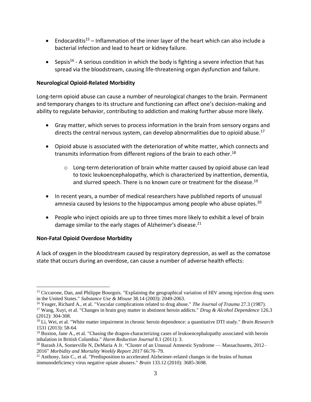- Endocarditis<sup>15</sup> Inflammation of the inner layer of the heart which can also include a bacterial infection and lead to heart or kidney failure.
- Sepsis<sup>16</sup> A serious condition in which the body is fighting a severe infection that has spread via the bloodstream, causing life-threatening organ dysfunction and failure.

#### **Neurological Opioid-Related Morbidity**

Long-term opioid abuse can cause a number of neurological changes to the brain. Permanent and temporary changes to its structure and functioning can affect one's decision-making and ability to regulate behavior, contributing to addiction and making further abuse more likely.

- Gray matter, which serves to process information in the brain from sensory organs and directs the central nervous system, can develop abnormalities due to opioid abuse. 17
- Opioid abuse is associated with the deterioration of white matter, which connects and transmits information from different regions of the brain to each other. 18
	- $\circ$  Long-term deterioration of brain white matter caused by opioid abuse can lead to toxic leukoencephalopathy, which is characterized by inattention, dementia, and slurred speech. There is no known cure or treatment for the disease. 19
- In recent years, a number of medical researchers have published reports of unusual amnesia caused by lesions to the hippocampus among people who abuse opiates.<sup>20</sup>
- People who inject opioids are up to three times more likely to exhibit a level of brain damage similar to the early stages of Alzheimer's disease.<sup>21</sup>

# **Non-Fatal Opioid Overdose Morbidity**

 $\overline{a}$ 

A lack of oxygen in the bloodstream caused by respiratory depression, as well as the comatose state that occurs during an overdose, can cause a number of adverse health effects:

<sup>&</sup>lt;sup>15</sup> Ciccarone, Dan, and Philippe Bourgois. "Explaining the geographical variation of HIV among injection drug users in the United States." *Substance Use & Misuse* 38.14 (2003): 2049-2063.

<sup>16</sup> Yeager, Richard A., et al. "Vascular complications related to drug abuse." *The Journal of Trauma* 27.3 (1987).

<sup>17</sup> Wang, Xuyi, et al. "Changes in brain gray matter in abstinent heroin addicts." *Drug & Alcohol Dependence* 126.3 (2012): 304-308.

<sup>18</sup> Li, Wei, et al. "White matter impairment in chronic heroin dependence: a quantitative DTI study." *Brain Research* 1531 (2013): 58-64.

 $19$  Buxton, Jane A., et al. "Chasing the dragon-characterizing cases of leukoencephalopathy associated with heroin inhalation in British Columbia." *Harm Reduction Journal* 8.1 (2011): 3.

 $20$  Barash JA, Somerville N, DeMaria A Jr. "Cluster of an Unusual Amnestic Syndrome — Massachusetts, 2012– 2016" *Morbidity and Mortality Weekly Report 2017* 66:76–79.

<sup>&</sup>lt;sup>21</sup> Anthony, Iain C., et al. "Predisposition to accelerated Alzheimer-related changes in the brains of human immunodeficiency virus negative opiate abusers." *Brain* 133.12 (2010): 3685-3698.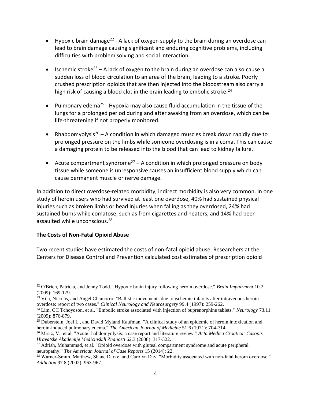- Hypoxic brain damage<sup>22</sup> A lack of oxygen supply to the brain during an overdose can lead to brain damage causing significant and enduring cognitive problems, including difficulties with problem solving and social interaction.
- Ischemic stroke<sup>23</sup> A lack of oxygen to the brain during an overdose can also cause a sudden loss of blood circulation to an area of the brain, leading to a stroke. Poorly crushed prescription opioids that are then injected into the bloodstream also carry a high risk of causing a blood clot in the brain leading to embolic stroke.<sup>24</sup>
- Pulmonary edema<sup>25</sup> Hypoxia may also cause fluid accumulation in the tissue of the lungs for a prolonged period during and after awaking from an overdose, which can be life-threatening if not properly monitored.
- Rhabdomyolysis<sup>26</sup> A condition in which damaged muscles break down rapidly due to prolonged pressure on the limbs while someone overdosing is in a coma. This can cause a damaging protein to be released into the blood that can lead to kidney failure.
- Acute compartment syndrome<sup>27</sup> A condition in which prolonged pressure on body tissue while someone is unresponsive causes an insufficient blood supply which can cause permanent muscle or nerve damage.

In addition to direct overdose-related morbidity, indirect morbidity is also very common. In one study of heroin users who had survived at least one overdose, 40% had sustained physical injuries such as broken limbs or head injuries when falling as they overdosed, 24% had sustained burns while comatose, such as from cigarettes and heaters, and 14% had been assaulted while unconscious.<sup>28</sup>

# **The Costs of Non-Fatal Opioid Abuse**

 $\overline{a}$ 

Two recent studies have estimated the costs of non-fatal opioid abuse. Researchers at the Centers for Disease Control and Prevention calculated cost estimates of prescription opioid

<sup>22</sup> O'Brien, Patricia, and Jenny Todd. "Hypoxic brain injury following heroin overdose." *Brain Impairment* 10.2 (2009): 169-179.

<sup>&</sup>lt;sup>23</sup> Vila, Nicolás, and Angel Chamorro. "Ballistic movements due to ischemic infarcts after intravenous heroin overdose: report of two cases." *Clinical Neurology and Neurosurgery* 99.4 (1997): 259-262.

<sup>24</sup> Lim, CC Tchoyoson, et al. "Embolic stroke associated with injection of buprenorphine tablets." *Neurology* 73.11 (2009): 876-879.

 $^{25}$  Duberstein, Joel L., and David Myland Kaufman. "A clinical study of an epidemic of heroin intoxication and heroin-induced pulmonary edema." *The American Journal of Medicine* 51.6 (1971): 704-714.

<sup>26</sup> Mrsić, V., et al. "Acute rhabdomyolysis: a case report and literature review." *Acta Medica Croatica: Casopis Hravatske Akademije Medicinskih Znanosti* 62.3 (2008): 317-322.

 $27$  Adrish, Muhammad, et al. "Opioid overdose with gluteal compartment syndrome and acute peripheral neuropathy." *The American Journal of Case Reports* 15 (2014): 22.

<sup>&</sup>lt;sup>28</sup> Warner-Smith, Matthew, Shane Darke, and Carolyn Day. "Morbidity associated with non-fatal heroin overdose." *Addiction* 97.8 (2002): 963-967.